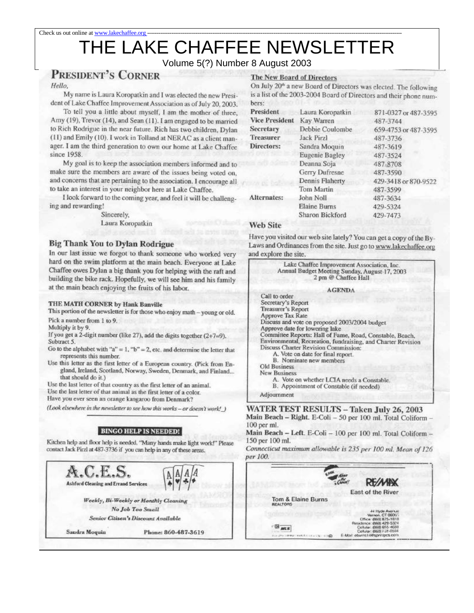# THE LAKE CHAFFEE NEWSLETTER

## Volume 5(?) Number 8 August 2003

# **PRESIDENT'S CORNER**

### Hello,

My name is Laura Koropatkin and I was elected the new President of Lake Chaffee Improvement Association as of July 20, 2003.

To tell you a little about myself, I am the mother of three, Amy (19), Trevor (14), and Sean (11). I am engaged to be married to Rich Rodrigue in the near future. Rich has two children, Dylan (11) and Emily (10). I work in Tolland at NERAC as a client manager. I am the third generation to own our home at Lake Chaffee since 1958.

My goal is to keep the association members informed and to make sure the members are aware of the issues being voted on, and concerns that are pertaining to the association. I encourage all to take an interest in your neighbor here at Lake Chaffee.

I look forward to the coming year, and feel it will be challenging and rewarding!

> Sincerely. Laura Koropatkin

## **Big Thank You to Dylan Rodrigue**

In our last issue we forgot to thank someone who worked very hard on the swim platform at the main beach. Everyone at Lake Chaffee owes Dylan a big thank you for helping with the raft and building the bike rack. Hopefully, we will see him and his family at the main beach enjoying the fruits of his labor.

## THE MATH CORNER by Hank Banville

This portion of the newsletter is for those who enjoy math - young or old.

Pick a number from 1 to 9.

Multiply it by 9.

If you get a 2-digit number (like 27), add the digits together  $(2+7=9)$ . Subtract 5.

- Go to the alphabet with " $a$ " = 1, "b" = 2, etc. and determine the letter that represents this number.
- Use this letter as the first letter of a European country. (Pick from England, Ireland, Scotland, Norway, Sweden, Denmark, and Finland... that should do it.)

Use the last letter of that country as the first letter of an animal.

Use the last letter of that animal as the first letter of a color. Have you ever seen an orange kangaroo from Denmark?

(Look elsewhere in the newsletter to see how this works - or doesn't work!)

## **BINGO HELP IS NEEDED!**

Kitchen help and floor help is needed. "Many hands make light work!" Please contact Jack Pirzl at 487-3736 if you can help in any of these areas.



## **The New Board of Directors**

On July 20<sup>th</sup> a new Board of Directors was elected. The following is a list of the 2003-2004 Board of Directors and their phone numbers:

| President             | Laura Koropatkin      | 871-0327 or 487-3595 |
|-----------------------|-----------------------|----------------------|
| <b>Vice President</b> | Kay Warren            | 487-3744             |
| <b>Secretary</b>      | Debbie Coulombe       | 659-4753 or 487-3595 |
| <b>Treasurer</b>      | <b>Jack Pirzl</b>     | 487-3736             |
| Directors:            | Sandra Moquin         | 487-3619             |
|                       | <b>Eugenie Bagley</b> | 487-3524             |
|                       | Deanna Soja           | 487-8708             |
|                       | Gerry Dufresne        | 487-3590             |
|                       | Dennis Flaherty       | 429-3418 or 870-9522 |
|                       | Tom Martin            | 487-3599             |
| Alternates:           | John Noll             | 487-3634             |
|                       | Elaine Burns          | 429-5324             |
|                       | Sharon Bickford       | 429-7473             |

## **Web Site**

Have you visited our web site lately? You can get a copy of the By-Laws and Ordinances from the site. Just go to www.lakechaffee.org and explore the site.

### Lake Chaffee Improvement Association, Inc. Annual Budget Meeting Sunday, August-17, 2003 2 pm @ Chaffee Hall

#### **AGENDA**

Call to order Secretary's Report<br>Treasurer's Report Approve Tax Rate Discuss and vote on proposed 2003/2004 budget Approve date for lowering lake Committee Reports: Hall of Fame, Road, Constable, Beach, Environmental, Recreation, fundraising, and Charter Revision Discuss Charter Revision Commission: A. Vote on date for final report. B. Nominate new members Old Business **New Business** A. Vote on whether LCIA needs a Constable. B. Appointment of Constable (if needed)

Adjournment

**WATER TEST RESULTS - Taken July 26, 2003** Main Beach - Right. E-Coli - 50 per 100 ml. Total Coliform -100 per ml.

Main Beach - Left. E-Coli - 100 per 100 ml. Total Coliform -150 per 100 ml.

Connecticut maximum allowable is 235 per 100 ml. Mean of 126 per 100.

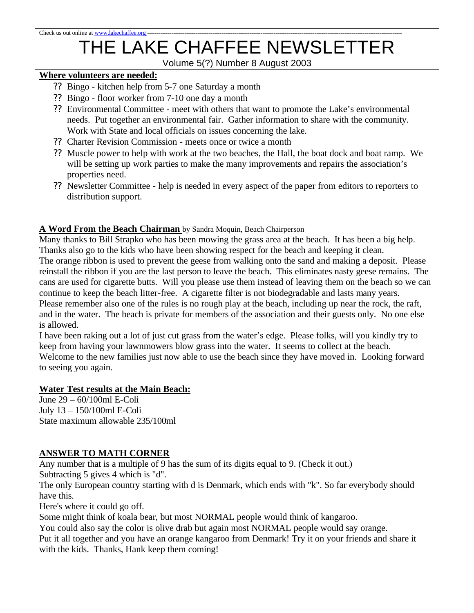# THE LAKE CHAFFEE NEWSLETTER

Volume 5(?) Number 8 August 2003

# **Where volunteers are needed:**

- ?? Bingo kitchen help from 5-7 one Saturday a month
- ?? Bingo floor worker from 7-10 one day a month
- ?? Environmental Committee meet with others that want to promote the Lake's environmental needs. Put together an environmental fair. Gather information to share with the community. Work with State and local officials on issues concerning the lake.
- ?? Charter Revision Commission meets once or twice a month
- ?? Muscle power to help with work at the two beaches, the Hall, the boat dock and boat ramp. We will be setting up work parties to make the many improvements and repairs the association's properties need.
- ?? Newsletter Committee help is needed in every aspect of the paper from editors to reporters to distribution support.

# **A Word From the Beach Chairman** by Sandra Moquin, Beach Chairperson

Many thanks to Bill Strapko who has been mowing the grass area at the beach. It has been a big help. Thanks also go to the kids who have been showing respect for the beach and keeping it clean. The orange ribbon is used to prevent the geese from walking onto the sand and making a deposit. Please reinstall the ribbon if you are the last person to leave the beach. This eliminates nasty geese remains. The cans are used for cigarette butts. Will you please use them instead of leaving them on the beach so we can continue to keep the beach litter-free. A cigarette filter is not biodegradable and lasts many years. Please remember also one of the rules is no rough play at the beach, including up near the rock, the raft, and in the water. The beach is private for members of the association and their guests only. No one else is allowed.

I have been raking out a lot of just cut grass from the water's edge. Please folks, will you kindly try to keep from having your lawnmowers blow grass into the water. It seems to collect at the beach. Welcome to the new families just now able to use the beach since they have moved in. Looking forward to seeing you again.

## **Water Test results at the Main Beach:**

June 29 – 60/100ml E-Coli July 13 – 150/100ml E-Coli State maximum allowable 235/100ml

# **ANSWER TO MATH CORNER**

Any number that is a multiple of 9 has the sum of its digits equal to 9. (Check it out.)

Subtracting 5 gives 4 which is "d".

The only European country starting with d is Denmark, which ends with "k". So far everybody should have this.

Here's where it could go off.

Some might think of koala bear, but most NORMAL people would think of kangaroo.

You could also say the color is olive drab but again most NORMAL people would say orange.

Put it all together and you have an orange kangaroo from Denmark! Try it on your friends and share it with the kids. Thanks, Hank keep them coming!